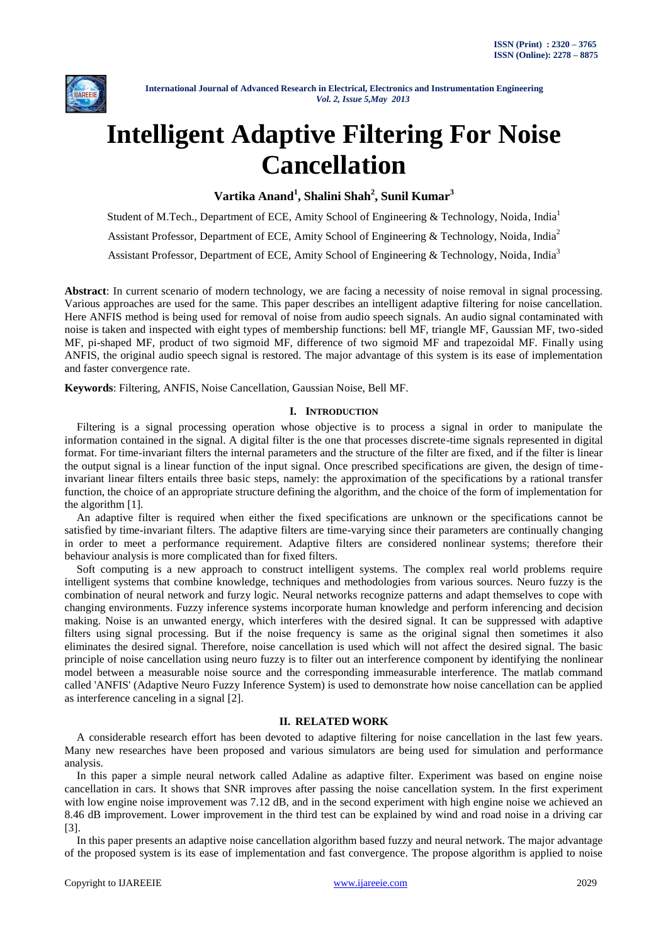

# **Intelligent Adaptive Filtering For Noise Cancellation**

**Vartika Anand<sup>1</sup> , Shalini Shah<sup>2</sup> , Sunil Kumar<sup>3</sup>**

Student of M.Tech., Department of ECE, Amity School of Engineering & Technology, Noida, India<sup>1</sup> Assistant Professor, Department of ECE, Amity School of Engineering & Technology, Noida, India<sup>2</sup> Assistant Professor, Department of ECE, Amity School of Engineering & Technology, Noida, India<sup>3</sup>

**Abstract**: In current scenario of modern technology, we are facing a necessity of noise removal in signal processing. Various approaches are used for the same. This paper describes an intelligent adaptive filtering for noise cancellation. Here ANFIS method is being used for removal of noise from audio speech signals. An audio signal contaminated with noise is taken and inspected with eight types of membership functions: bell MF, triangle MF, Gaussian MF, two-sided MF, pi-shaped MF, product of two sigmoid MF, difference of two sigmoid MF and trapezoidal MF. Finally using ANFIS, the original audio speech signal is restored. The major advantage of this system is its ease of implementation and faster convergence rate.

**Keywords**: Filtering, ANFIS, Noise Cancellation, Gaussian Noise, Bell MF.

## **I. INTRODUCTION**

Filtering is a signal processing operation whose objective is to process a signal in order to manipulate the information contained in the signal. A digital filter is the one that processes discrete-time signals represented in digital format. For time-invariant filters the internal parameters and the structure of the filter are fixed, and if the filter is linear the output signal is a linear function of the input signal. Once prescribed specifications are given, the design of timeinvariant linear filters entails three basic steps, namely: the approximation of the specifications by a rational transfer function, the choice of an appropriate structure defining the algorithm, and the choice of the form of implementation for the algorithm [1].

An adaptive filter is required when either the fixed specifications are unknown or the specifications cannot be satisfied by time-invariant filters. The adaptive filters are time-varying since their parameters are continually changing in order to meet a performance requirement. Adaptive filters are considered nonlinear systems; therefore their behaviour analysis is more complicated than for fixed filters.

Soft computing is a new approach to construct intelligent systems. The complex real world problems require intelligent systems that combine knowledge, techniques and methodologies from various sources. Neuro fuzzy is the combination of neural network and furzy logic. Neural networks recognize patterns and adapt themselves to cope with changing environments. Fuzzy inference systems incorporate human knowledge and perform inferencing and decision making. Noise is an unwanted energy, which interferes with the desired signal. It can be suppressed with adaptive filters using signal processing. But if the noise frequency is same as the original signal then sometimes it also eliminates the desired signal. Therefore, noise cancellation is used which will not affect the desired signal. The basic principle of noise cancellation using neuro fuzzy is to filter out an interference component by identifying the nonlinear model between a measurable noise source and the corresponding immeasurable interference. The matlab command called 'ANFIS' (Adaptive Neuro Fuzzy Inference System) is used to demonstrate how noise cancellation can be applied as interference canceling in a signal [2].

## **II. RELATED WORK**

A considerable research effort has been devoted to adaptive filtering for noise cancellation in the last few years. Many new researches have been proposed and various simulators are being used for simulation and performance analysis.

In this paper a simple neural network called Adaline as adaptive filter. Experiment was based on engine noise cancellation in cars. It shows that SNR improves after passing the noise cancellation system. In the first experiment with low engine noise improvement was 7.12 dB, and in the second experiment with high engine noise we achieved an 8.46 dB improvement. Lower improvement in the third test can be explained by wind and road noise in a driving car [3].

In this paper presents an adaptive noise cancellation algorithm based fuzzy and neural network. The major advantage of the proposed system is its ease of implementation and fast convergence. The propose algorithm is applied to noise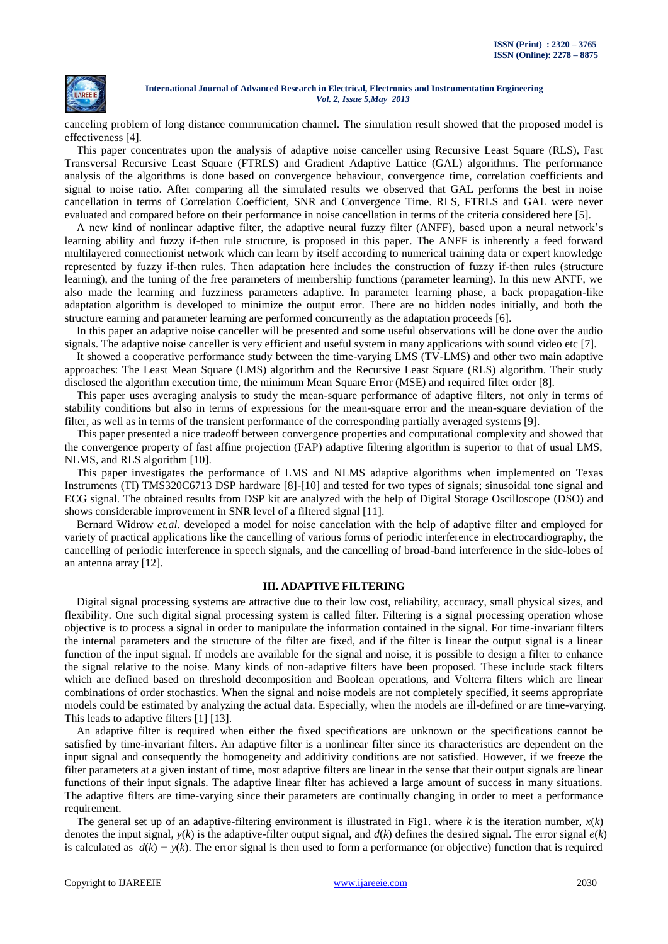

canceling problem of long distance communication channel. The simulation result showed that the proposed model is effectiveness [4].

This paper concentrates upon the analysis of adaptive noise canceller using Recursive Least Square (RLS), Fast Transversal Recursive Least Square (FTRLS) and Gradient Adaptive Lattice (GAL) algorithms. The performance analysis of the algorithms is done based on convergence behaviour, convergence time, correlation coefficients and signal to noise ratio. After comparing all the simulated results we observed that GAL performs the best in noise cancellation in terms of Correlation Coefficient, SNR and Convergence Time. RLS, FTRLS and GAL were never evaluated and compared before on their performance in noise cancellation in terms of the criteria considered here [5].

A new kind of nonlinear adaptive filter, the adaptive neural fuzzy filter (ANFF), based upon a neural network's learning ability and fuzzy if-then rule structure, is proposed in this paper. The ANFF is inherently a feed forward multilayered connectionist network which can learn by itself according to numerical training data or expert knowledge represented by fuzzy if-then rules. Then adaptation here includes the construction of fuzzy if-then rules (structure learning), and the tuning of the free parameters of membership functions (parameter learning). In this new ANFF, we also made the learning and fuzziness parameters adaptive. In parameter learning phase, a back propagation-like adaptation algorithm is developed to minimize the output error. There are no hidden nodes initially, and both the structure earning and parameter learning are performed concurrently as the adaptation proceeds [6].

In this paper an adaptive noise canceller will be presented and some useful observations will be done over the audio signals. The adaptive noise canceller is very efficient and useful system in many applications with sound video etc [7].

It showed a cooperative performance study between the time-varying LMS (TV-LMS) and other two main adaptive approaches: The Least Mean Square (LMS) algorithm and the Recursive Least Square (RLS) algorithm. Their study disclosed the algorithm execution time, the minimum Mean Square Error (MSE) and required filter order [8].

This paper uses averaging analysis to study the mean-square performance of adaptive filters, not only in terms of stability conditions but also in terms of expressions for the mean-square error and the mean-square deviation of the filter, as well as in terms of the transient performance of the corresponding partially averaged systems [9].

This paper presented a nice tradeoff between convergence properties and computational complexity and showed that the convergence property of fast affine projection (FAP) adaptive filtering algorithm is superior to that of usual LMS, NLMS, and RLS algorithm [10].

This paper investigates the performance of LMS and NLMS adaptive algorithms when implemented on Texas Instruments (TI) TMS320C6713 DSP hardware [8]-[10] and tested for two types of signals; sinusoidal tone signal and ECG signal. The obtained results from DSP kit are analyzed with the help of Digital Storage Oscilloscope (DSO) and shows considerable improvement in SNR level of a filtered signal [11].

Bernard Widrow *et.al.* developed a model for noise cancelation with the help of adaptive filter and employed for variety of practical applications like the cancelling of various forms of periodic interference in electrocardiography, the cancelling of periodic interference in speech signals, and the cancelling of broad-band interference in the side-lobes of an antenna array [12].

## **III. ADAPTIVE FILTERING**

Digital signal processing systems are attractive due to their low cost, reliability, accuracy, small physical sizes, and flexibility. One such digital signal processing system is called filter. Filtering is a signal processing operation whose objective is to process a signal in order to manipulate the information contained in the signal. For time-invariant filters the internal parameters and the structure of the filter are fixed, and if the filter is linear the output signal is a linear function of the input signal. If models are available for the signal and noise, it is possible to design a filter to enhance the signal relative to the noise. Many kinds of non-adaptive filters have been proposed. These include stack filters which are defined based on threshold decomposition and Boolean operations, and Volterra filters which are linear combinations of order stochastics. When the signal and noise models are not completely specified, it seems appropriate models could be estimated by analyzing the actual data. Especially, when the models are ill-defined or are time-varying. This leads to adaptive filters [1] [13].

An adaptive filter is required when either the fixed specifications are unknown or the specifications cannot be satisfied by time-invariant filters. An adaptive filter is a nonlinear filter since its characteristics are dependent on the input signal and consequently the homogeneity and additivity conditions are not satisfied. However, if we freeze the filter parameters at a given instant of time, most adaptive filters are linear in the sense that their output signals are linear functions of their input signals. The adaptive linear filter has achieved a large amount of success in many situations. The adaptive filters are time-varying since their parameters are continually changing in order to meet a performance requirement.

The general set up of an adaptive-filtering environment is illustrated in Fig1. where  $k$  is the iteration number,  $x(k)$ denotes the input signal,  $y(k)$  is the adaptive-filter output signal, and  $d(k)$  defines the desired signal. The error signal  $e(k)$ is calculated as  $d(k) - y(k)$ . The error signal is then used to form a performance (or objective) function that is required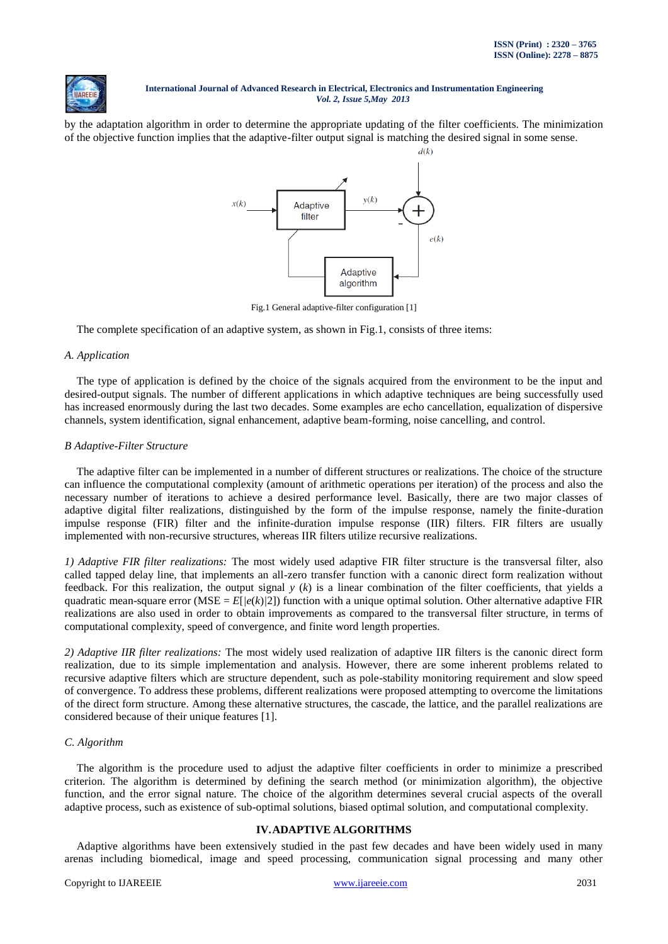

by the adaptation algorithm in order to determine the appropriate updating of the filter coefficients. The minimization of the objective function implies that the adaptive-filter output signal is matching the desired signal in some sense.



Fig.1 General adaptive-filter configuration [1]

The complete specification of an adaptive system, as shown in Fig.1, consists of three items:

## *A. Application*

The type of application is defined by the choice of the signals acquired from the environment to be the input and desired-output signals. The number of different applications in which adaptive techniques are being successfully used has increased enormously during the last two decades. Some examples are echo cancellation, equalization of dispersive channels, system identification, signal enhancement, adaptive beam-forming, noise cancelling, and control.

## *B Adaptive-Filter Structure*

The adaptive filter can be implemented in a number of different structures or realizations. The choice of the structure can influence the computational complexity (amount of arithmetic operations per iteration) of the process and also the necessary number of iterations to achieve a desired performance level. Basically, there are two major classes of adaptive digital filter realizations, distinguished by the form of the impulse response, namely the finite-duration impulse response (FIR) filter and the infinite-duration impulse response (IIR) filters. FIR filters are usually implemented with non-recursive structures, whereas IIR filters utilize recursive realizations.

*1) Adaptive FIR filter realizations:* The most widely used adaptive FIR filter structure is the transversal filter, also called tapped delay line, that implements an all-zero transfer function with a canonic direct form realization without feedback. For this realization, the output signal *y* (*k*) is a linear combination of the filter coefficients, that yields a quadratic mean-square error (MSE =  $E[(e(k)/2])$  function with a unique optimal solution. Other alternative adaptive FIR realizations are also used in order to obtain improvements as compared to the transversal filter structure, in terms of computational complexity, speed of convergence, and finite word length properties.

*2) Adaptive IIR filter realizations:* The most widely used realization of adaptive IIR filters is the canonic direct form realization, due to its simple implementation and analysis. However, there are some inherent problems related to recursive adaptive filters which are structure dependent, such as pole-stability monitoring requirement and slow speed of convergence. To address these problems, different realizations were proposed attempting to overcome the limitations of the direct form structure. Among these alternative structures, the cascade, the lattice, and the parallel realizations are considered because of their unique features [1].

## *C. Algorithm*

The algorithm is the procedure used to adjust the adaptive filter coefficients in order to minimize a prescribed criterion. The algorithm is determined by defining the search method (or minimization algorithm), the objective function, and the error signal nature. The choice of the algorithm determines several crucial aspects of the overall adaptive process, such as existence of sub-optimal solutions, biased optimal solution, and computational complexity.

## **IV.ADAPTIVE ALGORITHMS**

Adaptive algorithms have been extensively studied in the past few decades and have been widely used in many arenas including biomedical, image and speed processing, communication signal processing and many other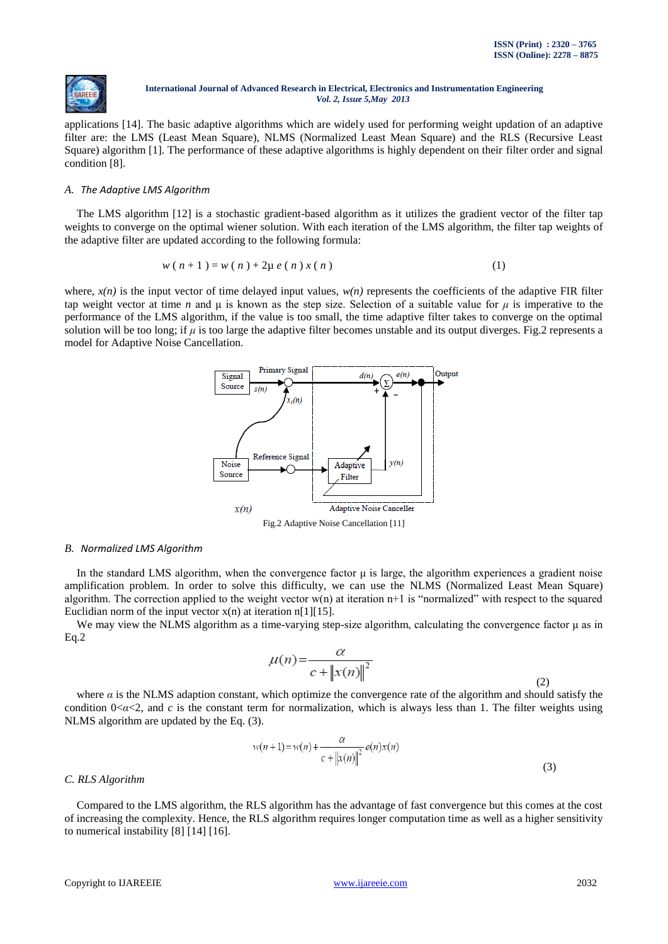

applications [14]. The basic adaptive algorithms which are widely used for performing weight updation of an adaptive filter are: the LMS (Least Mean Square), NLMS (Normalized Least Mean Square) and the RLS (Recursive Least Square) algorithm [1]. The performance of these adaptive algorithms is highly dependent on their filter order and signal condition [8].

## *A. The Adaptive LMS Algorithm*

The LMS algorithm [12] is a stochastic gradient-based algorithm as it utilizes the gradient vector of the filter tap weights to converge on the optimal wiener solution. With each iteration of the LMS algorithm, the filter tap weights of the adaptive filter are updated according to the following formula:

$$
w(n + 1) = w(n) + 2\mu e(n)x(n)
$$
 (1)

where,  $x(n)$  is the input vector of time delayed input values,  $w(n)$  represents the coefficients of the adaptive FIR filter tap weight vector at time *n* and μ is known as the step size. Selection of a suitable value for *μ* is imperative to the performance of the LMS algorithm, if the value is too small, the time adaptive filter takes to converge on the optimal solution will be too long; if *μ* is too large the adaptive filter becomes unstable and its output diverges. Fig.2 represents a model for Adaptive Noise Cancellation.



#### *B. Normalized LMS Algorithm*

In the standard LMS algorithm, when the convergence factor μ is large, the algorithm experiences a gradient noise amplification problem. In order to solve this difficulty, we can use the NLMS (Normalized Least Mean Square) algorithm. The correction applied to the weight vector  $w(n)$  at iteration  $n+1$  is "normalized" with respect to the squared Euclidian norm of the input vector  $x(n)$  at iteration n[1][15].

We may view the NLMS algorithm as a time-varying step-size algorithm, calculating the convergence factor  $\mu$  as in Eq.2

$$
\mu(n) = \frac{\alpha}{c + \|x(n)\|^2}
$$
\n(2)

where  $\alpha$  is the NLMS adaption constant, which optimize the convergence rate of the algorithm and should satisfy the condition  $0 < \alpha < 2$ , and *c* is the constant term for normalization, which is always less than 1. The filter weights using NLMS algorithm are updated by the Eq. (3).

 $\mathbb{L} \times \mathbb{L}$  (3)

## *C. RLS Algorithm*

Compared to the LMS algorithm, the RLS algorithm has the advantage of fast convergence but this comes at the cost of increasing the complexity. Hence, the RLS algorithm requires longer computation time as well as a higher sensitivity to numerical instability [8] [14] [16].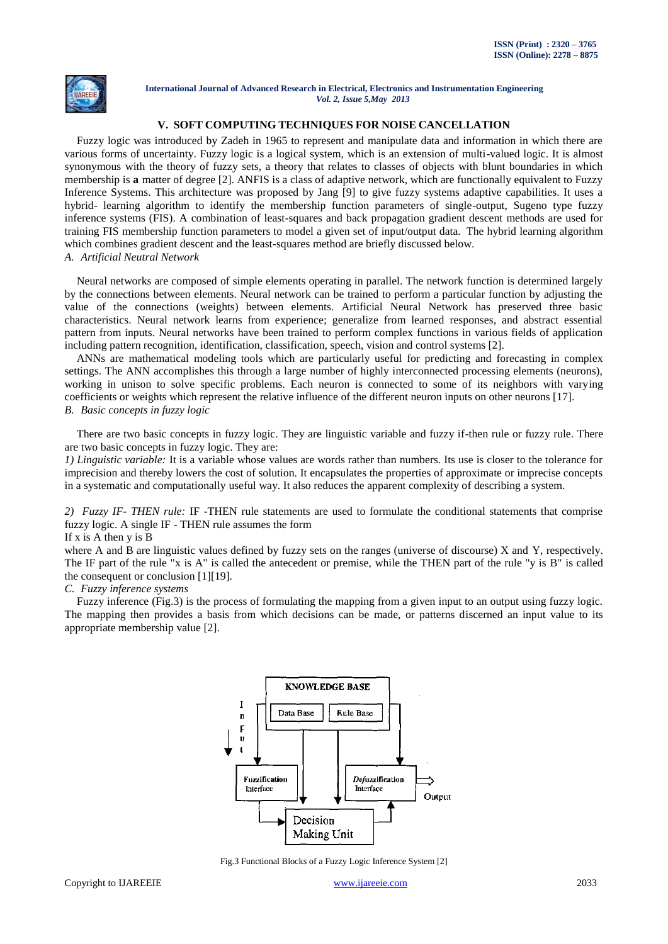

## **V. SOFT COMPUTING TECHNIQUES FOR NOISE CANCELLATION**

Fuzzy logic was introduced by Zadeh in 1965 to represent and manipulate data and information in which there are various forms of uncertainty. Fuzzy logic is a logical system, which is an extension of multi-valued logic. It is almost synonymous with the theory of fuzzy sets, a theory that relates to classes of objects with blunt boundaries in which membership is **a** matter of degree [2]. ANFIS is a class of adaptive network, which are functionally equivalent to Fuzzy Inference Systems. This architecture was proposed by Jang [9] to give fuzzy systems adaptive capabilities. It uses a hybrid- learning algorithm to identify the membership function parameters of single-output, Sugeno type fuzzy inference systems (FIS). A combination of least-squares and back propagation gradient descent methods are used for training FIS membership function parameters to model a given set of input/output data. The hybrid learning algorithm which combines gradient descent and the least-squares method are briefly discussed below. *A. Artificial Neutral Network*

Neural networks are composed of simple elements operating in parallel. The network function is determined largely by the connections between elements. Neural network can be trained to perform a particular function by adjusting the value of the connections (weights) between elements. Artificial Neural Network has preserved three basic characteristics. Neural network learns from experience; generalize from learned responses, and abstract essential pattern from inputs. Neural networks have been trained to perform complex functions in various fields of application including pattern recognition, identification, classification, speech, vision and control systems [2].

ANNs are mathematical modeling tools which are particularly useful for predicting and forecasting in complex settings. The ANN accomplishes this through a large number of highly interconnected processing elements (neurons), working in unison to solve specific problems. Each neuron is connected to some of its neighbors with varying coefficients or weights which represent the relative influence of the different neuron inputs on other neurons [17]. *B. Basic concepts in fuzzy logic*

There are two basic concepts in fuzzy logic. They are linguistic variable and fuzzy if-then rule or fuzzy rule. There are two basic concepts in fuzzy logic. They are:

*1) Linguistic variable:* It is a variable whose values are words rather than numbers. Its use is closer to the tolerance for imprecision and thereby lowers the cost of solution. It encapsulates the properties of approximate or imprecise concepts in a systematic and computationally useful way. It also reduces the apparent complexity of describing a system.

*2) Fuzzy IF- THEN rule:* IF -THEN rule statements are used to formulate the conditional statements that comprise fuzzy logic. A single IF - THEN rule assumes the form

## If  $x$  is  $A$  then  $v$  is  $B$

where A and B are linguistic values defined by fuzzy sets on the ranges (universe of discourse)  $X$  and  $Y$ , respectively. The IF part of the rule "x is A" is called the antecedent or premise, while the THEN part of the rule "y is B" is called the consequent or conclusion [1][19].

## *C. Fuzzy inference systems*

Fuzzy inference (Fig.3) is the process of formulating the mapping from a given input to an output using fuzzy logic. The mapping then provides a basis from which decisions can be made, or patterns discerned an input value to its appropriate membership value [2].



Fig.3 Functional Blocks of a Fuzzy Logic Inference System [2]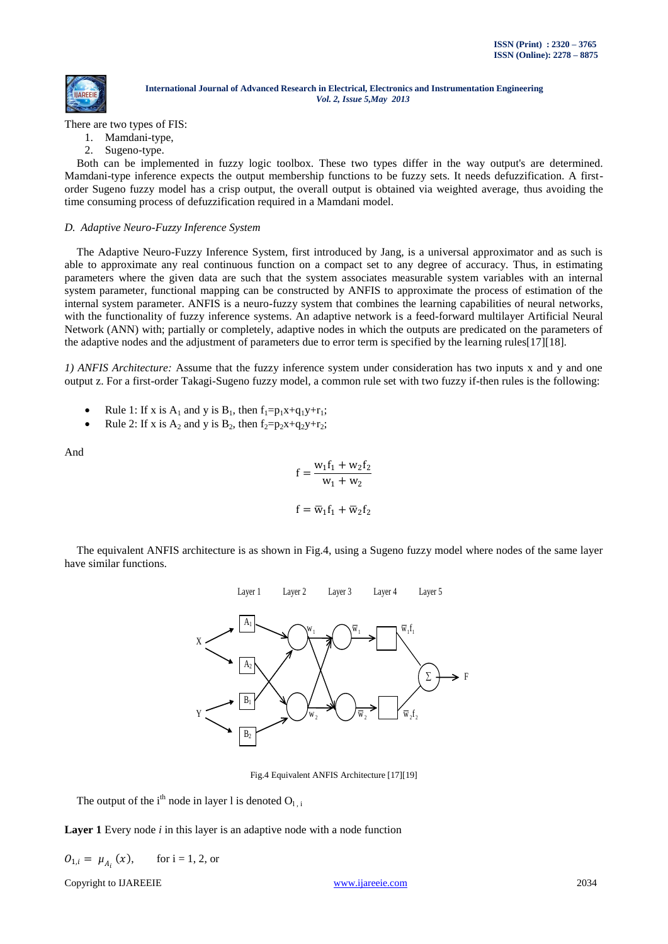

There are two types of FIS:

- 1. Mamdani-type,
- 2. Sugeno-type.

Both can be implemented in fuzzy logic toolbox. These two types differ in the way output's are determined. Mamdani-type inference expects the output membership functions to be fuzzy sets. It needs defuzzification. A firstorder Sugeno fuzzy model has a crisp output, the overall output is obtained via weighted average, thus avoiding the time consuming process of defuzzification required in a Mamdani model.

## *D. Adaptive Neuro-Fuzzy Inference System*

The Adaptive Neuro-Fuzzy Inference System, first introduced by Jang, is a universal approximator and as such is able to approximate any real continuous function on a compact set to any degree of accuracy. Thus, in estimating parameters where the given data are such that the system associates measurable system variables with an internal system parameter, functional mapping can be constructed by ANFIS to approximate the process of estimation of the internal system parameter. ANFIS is a neuro-fuzzy system that combines the learning capabilities of neural networks, with the functionality of fuzzy inference systems. An adaptive network is a feed-forward multilayer Artificial Neural Network (ANN) with; partially or completely, adaptive nodes in which the outputs are predicated on the parameters of the adaptive nodes and the adjustment of parameters due to error term is specified by the learning rules[17][18].

*1) ANFIS Architecture:* Assume that the fuzzy inference system under consideration has two inputs x and y and one output z. For a first-order Takagi-Sugeno fuzzy model, a common rule set with two fuzzy if-then rules is the following:

- Rule 1: If x is  $A_1$  and y is  $B_1$ , then  $f_1=p_1x+q_1y+r_1$ ;
- Rule 2: If x is A<sub>2</sub> and y is B<sub>2</sub>, then  $f_2=p_2x+q_2y+r_2$ ;

And

$$
f = \frac{w_1 f_1 + w_2 f_2}{w_1 + w_2}
$$

$$
f = \overline{w}_1 f_1 + \overline{w}_2 f_2
$$

The equivalent ANFIS architecture is as shown in Fig.4, using a Sugeno fuzzy model where nodes of the same layer have similar functions.



Fig.4 Equivalent ANFIS Architecture [17][19]

The output of the i<sup>th</sup> node in layer l is denoted  $O_{1}$ ;

**Layer 1** Every node *i* in this layer is an adaptive node with a node function

$$
O_{1,i} = \mu_{A_i}(x)
$$
, for i = 1, 2, or

Copyright to IJAREEIE [www.ijareeie.com](http://www.ijareeie.com/) 2034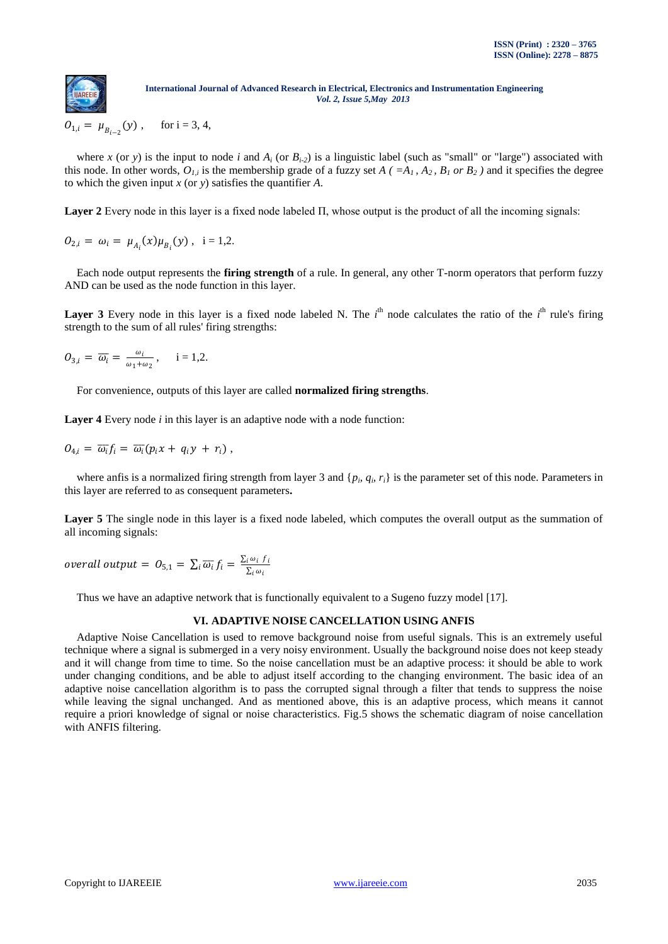

 $0_{1,i} = \mu_{B_{i-2}}(y)$ , for i = 3, 4,

where *x* (or *y*) is the input to node *i* and  $A_i$  (or  $B_i$ <sub>2</sub>) is a linguistic label (such as "small" or "large") associated with this node. In other words,  $O_{1,i}$  is the membership grade of a fuzzy set  $A$  ( $=A_1$ ,  $A_2$ ,  $B_1$  or  $B_2$ ) and it specifies the degree to which the given input *x* (or *y*) satisfies the quantifier *A*.

**Layer 2** Every node in this layer is a fixed node labeled Π, whose output is the product of all the incoming signals:

 $O_{2,i} = \omega_i = \mu_{A_i}(x) \mu_{B_i}(y)$ , i = 1,2.

Each node output represents the **firing strength** of a rule. In general, any other T-norm operators that perform fuzzy AND can be used as the node function in this layer.

**Layer 3** Every node in this layer is a fixed node labeled N. The  $i^{\text{th}}$  node calculates the ratio of the  $i^{\text{th}}$  rule's firing strength to the sum of all rules' firing strengths:

 $\overline{O}_{3,i} = \overline{\omega_i} = \frac{\omega_i}{\omega_i + \omega_i}$  $\frac{\omega_i}{\omega_1+\omega_2}$ ,  $i = 1,2$ .

For convenience, outputs of this layer are called **normalized firing strengths**.

**Layer 4** Every node *i* in this layer is an adaptive node with a node function:

$$
O_{4,i} = \overline{\omega_i} f_i = \overline{\omega_i} (p_i x + q_i y + r_i),
$$

where anfis is a normalized firing strength from layer 3 and  $\{p_i, q_i, r_i\}$  is the parameter set of this node. Parameters in this layer are referred to as consequent parameters**.**

**Layer 5** The single node in this layer is a fixed node labeled, which computes the overall output as the summation of all incoming signals:

overall output =  $O_{5,1} = \sum_i \overline{\omega_i} f_i = \frac{\sum_i \omega_i f_i}{\sum_i \omega_i}$  $\Sigma_i\,\omega_i$ 

Thus we have an adaptive network that is functionally equivalent to a Sugeno fuzzy model [17].

## **VI. ADAPTIVE NOISE CANCELLATION USING ANFIS**

Adaptive Noise Cancellation is used to remove background noise from useful signals. This is an extremely useful technique where a signal is submerged in a very noisy environment. Usually the background noise does not keep steady and it will change from time to time. So the noise cancellation must be an adaptive process: it should be able to work under changing conditions, and be able to adjust itself according to the changing environment. The basic idea of an adaptive noise cancellation algorithm is to pass the corrupted signal through a filter that tends to suppress the noise while leaving the signal unchanged. And as mentioned above, this is an adaptive process, which means it cannot require a priori knowledge of signal or noise characteristics. Fig.5 shows the schematic diagram of noise cancellation with ANFIS filtering.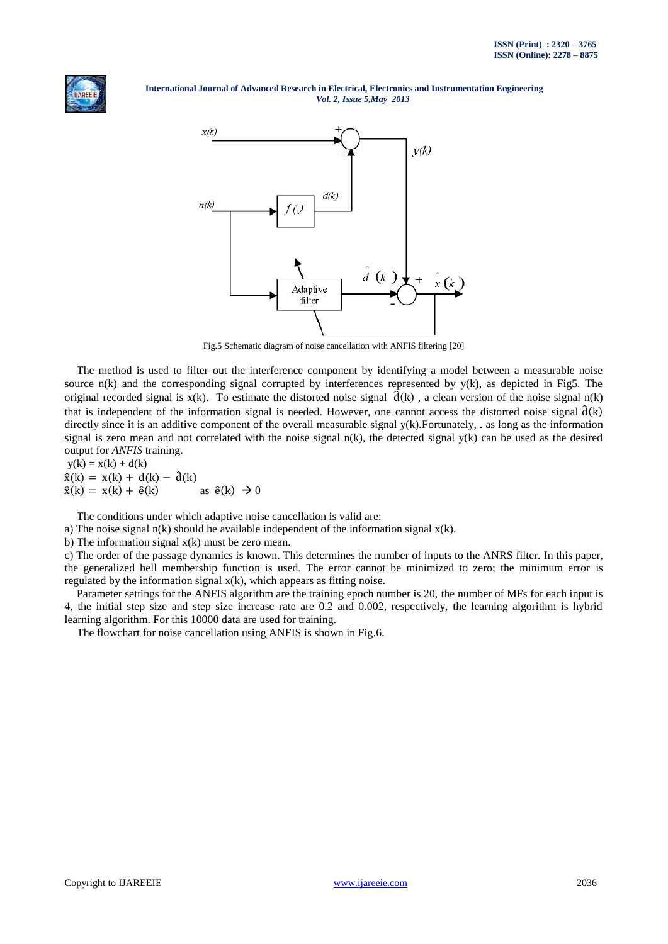



Fig.5 Schematic diagram of noise cancellation with ANFIS filtering [20]

The method is used to filter out the interference component by identifying a model between a measurable noise source n(k) and the corresponding signal corrupted by interferences represented by y(k), as depicted in Fig5. The original recorded signal is  $x(k)$ . To estimate the distorted noise signal  $\hat{d}(k)$ , a clean version of the noise signal  $n(k)$ that is independent of the information signal is needed. However, one cannot access the distorted noise signal  $\hat{d}(k)$ directly since it is an additive component of the overall measurable signal y(k).Fortunately, . as long as the information signal is zero mean and not correlated with the noise signal  $n(k)$ , the detected signal  $y(k)$  can be used as the desired output for *ANFIS* training.

 $y(k) = x(k) + d(k)$  $\hat{x}(k) = x(k) + d(k) - \hat{d}(k)$ <br>  $\hat{x}(k) = x(k) + \hat{e}(k)$  as  $\hat{e}(k) \rightarrow 0$  $\hat{x}(k) = x(k) + \hat{e}(k)$ 

The conditions under which adaptive noise cancellation is valid are:

a) The noise signal  $n(k)$  should he available independent of the information signal  $x(k)$ .

b) The information signal  $x(k)$  must be zero mean.

c) The order of the passage dynamics is known. This determines the number of inputs to the ANRS filter. In this paper, the generalized bell membership function is used. The error cannot be minimized to zero; the minimum error is regulated by the information signal  $x(k)$ , which appears as fitting noise.

Parameter settings for the ANFIS algorithm are the training epoch number is 20, the number of MFs for each input is 4, the initial step size and step size increase rate are 0.2 and 0.002, respectively, the learning algorithm is hybrid learning algorithm. For this 10000 data are used for training.

The flowchart for noise cancellation using ANFIS is shown in Fig.6.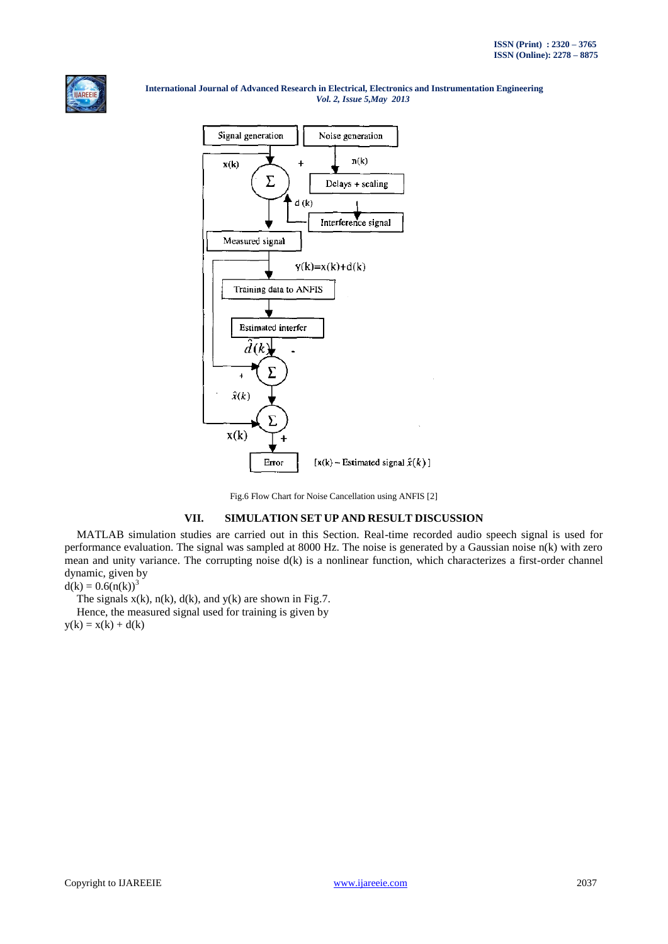



Fig.6 Flow Chart for Noise Cancellation using ANFIS [2]

# **VII. SIMULATION SET UP AND RESULT DISCUSSION**

MATLAB simulation studies are carried out in this Section. Real-time recorded audio speech signal is used for performance evaluation. The signal was sampled at 8000 Hz. The noise is generated by a Gaussian noise n(k) with zero mean and unity variance. The corrupting noise d(k) is a nonlinear function, which characterizes a first-order channel dynamic, given by

 $d(k) = 0.6(n(k))^{3}$ 

The signals  $x(k)$ ,  $n(k)$ ,  $d(k)$ , and  $y(k)$  are shown in Fig.7. Hence, the measured signal used for training is given by

 $y(k) = x(k) + d(k)$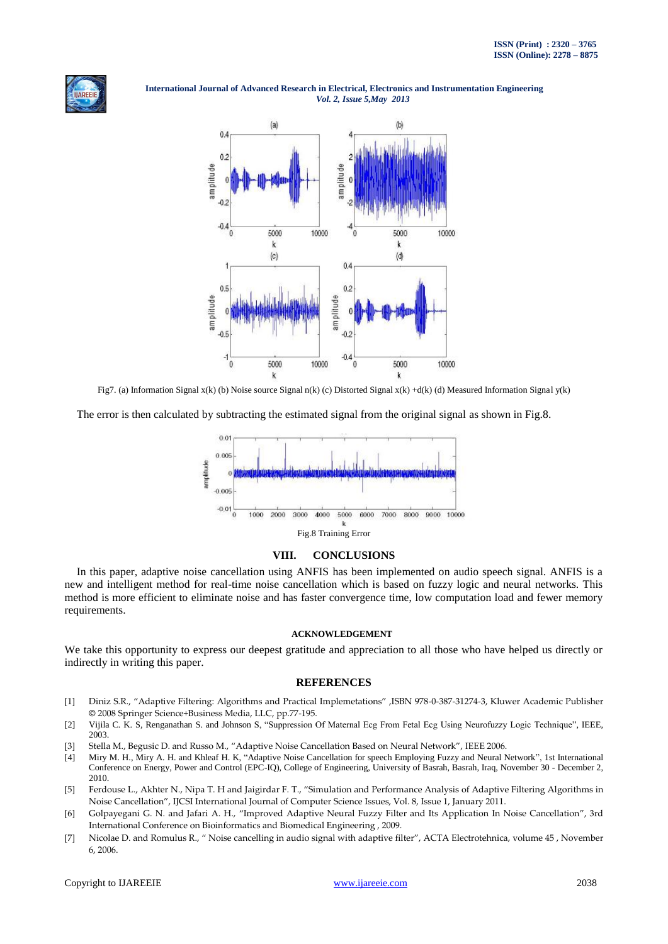



Fig7. (a) Information Signal x(k) (b) Noise source Signal n(k) (c) Distorted Signal x(k) +d(k) (d) Measured Information Signal y(k)

The error is then calculated by subtracting the estimated signal from the original signal as shown in Fig.8.



## **VIII. CONCLUSIONS**

In this paper, adaptive noise cancellation using ANFIS has been implemented on audio speech signal. ANFIS is a new and intelligent method for real-time noise cancellation which is based on fuzzy logic and neural networks. This method is more efficient to eliminate noise and has faster convergence time, low computation load and fewer memory requirements.

#### **ACKNOWLEDGEMENT**

We take this opportunity to express our deepest gratitude and appreciation to all those who have helped us directly or indirectly in writing this paper.

#### **REFERENCES**

- [1] Diniz S.R., 'Adaptive Filtering: Algorithms and Practical Implemetations' ,ISBN 978-0-387-31274-3, Kluwer Academic Publisher **©** 2008 Springer Science+Business Media, LLC, pp.77-195.
- [2] Vijila C. K. S, Renganathan S. and Johnson S, "Suppression Of Maternal Ecg From Fetal Ecg Using Neurofuzzy Logic Technique", IEEE, 2003.
- [3] Stella M., Begusic D. and Russo M., 'Adaptive Noise Cancellation Based on Neural Network', IEEE 2006.
- [4] Miry M. H., Miry A. H. and Khleaf H. K, "Adaptive Noise Cancellation for speech Employing Fuzzy and Neural Network", 1st International Conference on Energy, Power and Control (EPC-IQ), College of Engineering, University of Basrah, Basrah, Iraq, November 30 - December 2, 2010.
- [5] Ferdouse L., Akhter N., Nipa T. H and Jaigirdar F. T., 'Simulation and Performance Analysis of Adaptive Filtering Algorithms in Noise Cancellation', IJCSI International Journal of Computer Science Issues, Vol. 8, Issue 1, January 2011.
- [6] Golpayegani G. N. and Jafari A. H., 'Improved Adaptive Neural Fuzzy Filter and Its Application In Noise Cancellation', 3rd International Conference on Bioinformatics and Biomedical Engineering , 2009.
- [7] Nicolae D. and Romulus R., ' Noise cancelling in audio signal with adaptive filter', ACTA Electrotehnica, volume 45 , November 6, 2006.